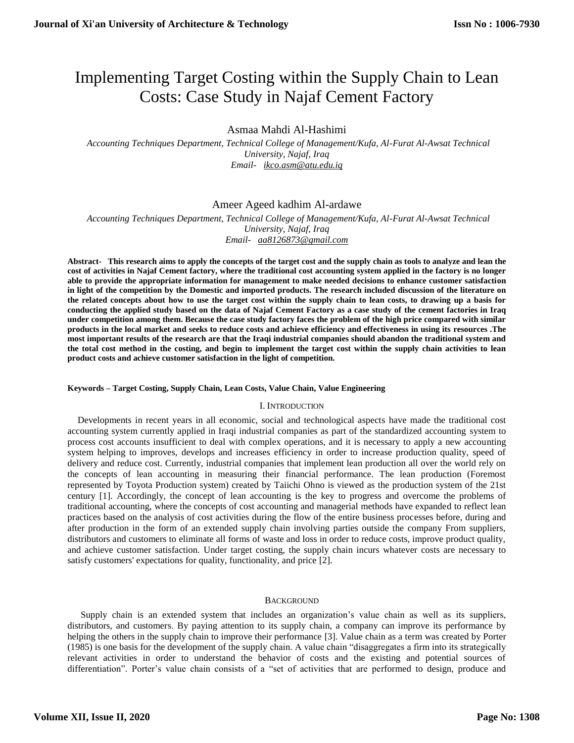# Implementing Target Costing within the Supply Chain to Lean Costs: Case Study in Najaf Cement Factory

Asmaa Mahdi Al-Hashimi

 *Accounting Techniques Department, Technical College of Management/Kufa, Al-Furat Al-Awsat Technical University, Najaf, Iraq [Email- ikco.asm@atu.edu.iq](mailto:Email-%20%20%20ikco.asm@atu.edu.iq)*

## Ameer Ageed kadhim Al-ardawe

 *Accounting Techniques Department, Technical College of Management/Kufa, Al-Furat Al-Awsat Technical University, Najaf, Iraq [Email- aa8126873@gmail.com](mailto:Email-%20%20%20aa8126873@gmail.com)*

**Abstract- This research aims to apply the concepts of the target cost and the supply chain as tools to analyze and lean the cost of activities in Najaf Cement factory, where the traditional cost accounting system applied in the factory is no longer able to provide the appropriate information for management to make needed decisions to enhance customer satisfaction in light of the competition by the Domestic and imported products. The research included discussion of the literature on the related concepts about how to use the target cost within the supply chain to lean costs, to drawing up a basis for conducting the applied study based on the data of Najaf Cement Factory as a case study of the cement factories in Iraq under competition among them. Because the case study factory faces the problem of the high price compared with similar products in the local market and seeks to reduce costs and achieve efficiency and effectiveness in using its resources .The most important results of the research are that the Iraqi industrial companies should abandon the traditional system and the total cost method in the costing, and begin to implement the target cost within the supply chain activities to lean product costs and achieve customer satisfaction in the light of competition.**

## **Keywords – Target Costing, Supply Chain, Lean Costs, Value Chain, Value Engineering**

## I. INTRODUCTION

Developments in recent years in all economic, social and technological aspects have made the traditional cost accounting system currently applied in Iraqi industrial companies as part of the standardized accounting system to process cost accounts insufficient to deal with complex operations, and it is necessary to apply a new accounting system helping to improves, develops and increases efficiency in order to increase production quality, speed of delivery and reduce cost. Currently, industrial companies that implement lean production all over the world rely on the concepts of lean accounting in measuring their financial performance. The lean production (Foremost represented by Toyota Production system) created by Taiichi Ohno is viewed as the production system of the 21st century [1]. Accordingly, the concept of lean accounting is the key to progress and overcome the problems of traditional accounting, where the concepts of cost accounting and managerial methods have expanded to reflect lean practices based on the analysis of cost activities during the flow of the entire business processes before, during and after production in the form of an extended supply chain involving parties outside the company From suppliers, distributors and customers to eliminate all forms of waste and loss in order to reduce costs, improve product quality, and achieve customer satisfaction. Under target costing, the supply chain incurs whatever costs are necessary to satisfy customers' expectations for quality, functionality, and price [2].

## **BACKGROUND**

Supply chain is an extended system that includes an organization's value chain as well as its suppliers, distributors, and customers. By paying attention to its supply chain, a company can improve its performance by helping the others in the supply chain to improve their performance [3]. Value chain as a term was created by Porter (1985) is one basis for the development of the supply chain. A value chain "disaggregates a firm into its strategically relevant activities in order to understand the behavior of costs and the existing and potential sources of differentiation". Porter's value chain consists of a "set of activities that are performed to design, produce and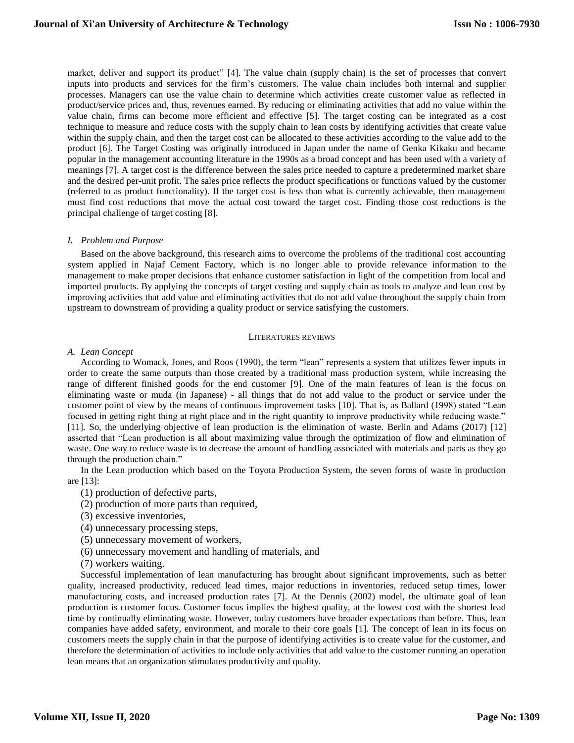market, deliver and support its product" [4]. The value chain (supply chain) is the set of processes that convert inputs into products and services for the firm's customers. The value chain includes both internal and supplier processes. Managers can use the value chain to determine which activities create customer value as reflected in product/service prices and, thus, revenues earned. By reducing or eliminating activities that add no value within the value chain, firms can become more efficient and effective [5]. The target costing can be integrated as a cost technique to measure and reduce costs with the supply chain to lean costs by identifying activities that create value within the supply chain, and then the target cost can be allocated to these activities according to the value add to the product [6]. The Target Costing was originally introduced in Japan under the name of Genka Kikaku and became popular in the management accounting literature in the 1990s as a broad concept and has been used with a variety of meanings [7]. A target cost is the difference between the sales price needed to capture a predetermined market share and the desired per-unit profit. The sales price reflects the product specifications or functions valued by the customer (referred to as product functionality). If the target cost is less than what is currently achievable, then management must find cost reductions that move the actual cost toward the target cost. Finding those cost reductions is the principal challenge of target costing [8].

## *I. Problem and Purpose*

Based on the above background, this research aims to overcome the problems of the traditional cost accounting system applied in Najaf Cement Factory, which is no longer able to provide relevance information to the management to make proper decisions that enhance customer satisfaction in light of the competition from local and imported products. By applying the concepts of target costing and supply chain as tools to analyze and lean cost by improving activities that add value and eliminating activities that do not add value throughout the supply chain from upstream to downstream of providing a quality product or service satisfying the customers.

#### LITERATURES REVIEWS

## *A. Lean Concept*

According to Womack, Jones, and Roos (1990), the term "lean" represents a system that utilizes fewer inputs in order to create the same outputs than those created by a traditional mass production system, while increasing the range of different finished goods for the end customer [9]. One of the main features of lean is the focus on eliminating waste or muda (in Japanese) - all things that do not add value to the product or service under the customer point of view by the means of continuous improvement tasks [10]. That is, as Ballard (1998) stated "Lean focused in getting right thing at right place and in the right quantity to improve productivity while reducing waste." [11]. So, the underlying objective of lean production is the elimination of waste. Berlin and Adams (2017) [12] asserted that "Lean production is all about maximizing value through the optimization of flow and elimination of waste. One way to reduce waste is to decrease the amount of handling associated with materials and parts as they go through the production chain."

In the Lean production which based on the Toyota Production System, the seven forms of waste in production are [13]:

- (1) production of defective parts,
- (2) production of more parts than required,
- (3) excessive inventories,
- (4) unnecessary processing steps,
- (5) unnecessary movement of workers,
- (6) unnecessary movement and handling of materials, and
- (7) workers waiting.

Successful implementation of lean manufacturing has brought about significant improvements, such as better quality, increased productivity, reduced lead times, major reductions in inventories, reduced setup times, lower manufacturing costs, and increased production rates [7]. At the Dennis (2002) model, the ultimate goal of lean production is customer focus. Customer focus implies the highest quality, at the lowest cost with the shortest lead time by continually eliminating waste. However, today customers have broader expectations than before. Thus, lean companies have added safety, environment, and morale to their core goals [1]. The concept of lean in its focus on customers meets the supply chain in that the purpose of identifying activities is to create value for the customer, and therefore the determination of activities to include only activities that add value to the customer running an operation lean means that an organization stimulates productivity and quality.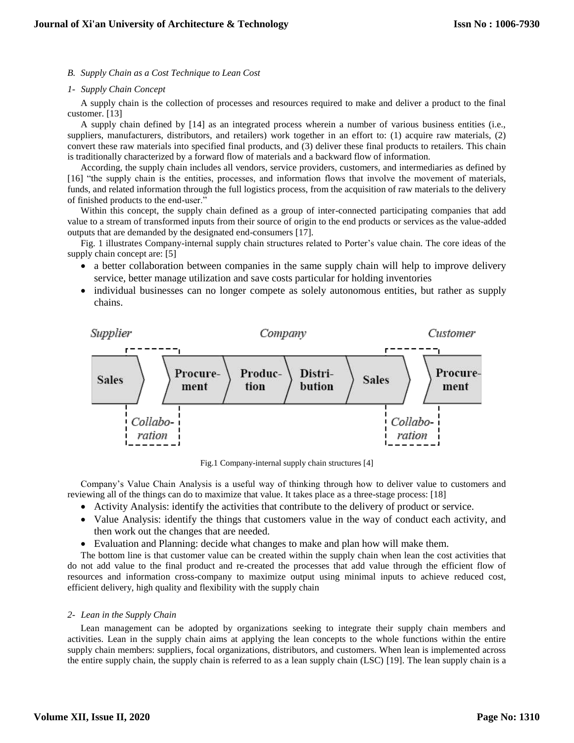## *B. Supply Chain as a Cost Technique to Lean Cost*

#### *1- Supply Chain Concept*

A supply chain is the collection of processes and resources required to make and deliver a product to the final customer. [13]

A supply chain defined by [14] as an integrated process wherein a number of various business entities (i.e., suppliers, manufacturers, distributors, and retailers) work together in an effort to: (1) acquire raw materials, (2) convert these raw materials into specified final products, and (3) deliver these final products to retailers. This chain is traditionally characterized by a forward flow of materials and a backward flow of information.

According, the supply chain includes all vendors, service providers, customers, and intermediaries as defined by [16] "the supply chain is the entities, processes, and information flows that involve the movement of materials, funds, and related information through the full logistics process, from the acquisition of raw materials to the delivery of finished products to the end-user."

Within this concept, the supply chain defined as a group of inter-connected participating companies that add value to a stream of transformed inputs from their source of origin to the end products or services as the value-added outputs that are demanded by the designated end-consumers [17].

Fig. 1 illustrates Company-internal supply chain structures related to Porter's value chain. The core ideas of the supply chain concept are: [5]

- a better collaboration between companies in the same supply chain will help to improve delivery service, better manage utilization and save costs particular for holding inventories
- individual businesses can no longer compete as solely autonomous entities, but rather as supply chains.



Fig.1 Company-internal supply chain structures [4]

Company's Value Chain Analysis is a useful way of thinking through how to deliver value to customers and reviewing all of the things can do to maximize that value. It takes place as a three-stage process: [18]

- Activity Analysis: identify the activities that contribute to the delivery of product or service.
- Value Analysis: identify the things that customers value in the way of conduct each activity, and then work out the changes that are needed.
- Evaluation and Planning: decide what changes to make and plan how will make them.

The bottom line is that customer value can be created within the supply chain when lean the cost activities that do not add value to the final product and re-created the processes that add value through the efficient flow of resources and information cross-company to maximize output using minimal inputs to achieve reduced cost, efficient delivery, high quality and flexibility with the supply chain

## *2- Lean in the Supply Chain*

Lean management can be adopted by organizations seeking to integrate their supply chain members and activities. Lean in the supply chain aims at applying the lean concepts to the whole functions within the entire supply chain members: suppliers, focal organizations, distributors, and customers. When lean is implemented across the entire supply chain, the supply chain is referred to as a lean supply chain (LSC) [19]. The lean supply chain is a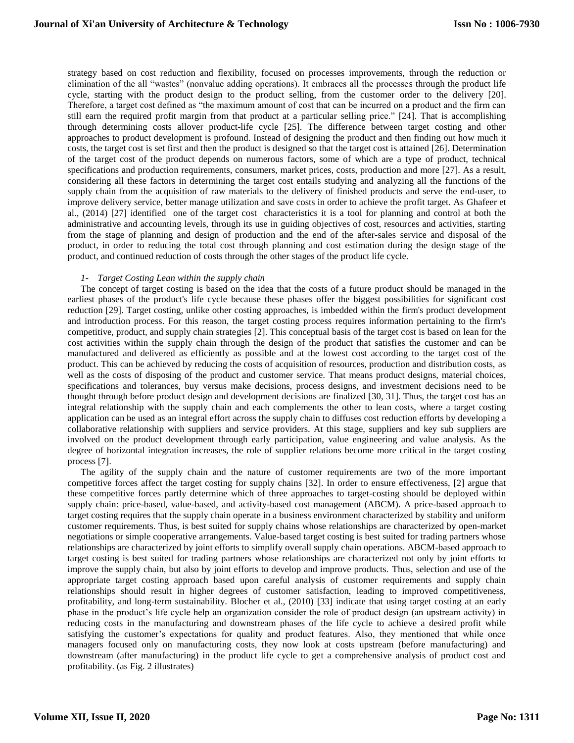strategy based on cost reduction and flexibility, focused on processes improvements, through the reduction or elimination of the all "wastes" (nonvalue adding operations). It embraces all the processes through the product life cycle, starting with the product design to the product selling, from the customer order to the delivery [20]. Therefore, a target cost defined as "the maximum amount of cost that can be incurred on a product and the firm can still earn the required profit margin from that product at a particular selling price." [24]. That is accomplishing through determining costs allover product-life cycle [25]. The difference between target costing and other approaches to product development is profound. Instead of designing the product and then finding out how much it costs, the target cost is set first and then the product is designed so that the target cost is attained [26]. Determination of the target cost of the product depends on numerous factors, some of which are a type of product, technical specifications and production requirements, consumers, market prices, costs, production and more [27]. As a result, considering all these factors in determining the target cost entails studying and analyzing all the functions of the supply chain from the acquisition of raw materials to the delivery of finished products and serve the end-user, to improve delivery service, better manage utilization and save costs in order to achieve the profit target. As Ghafeer et al., (2014) [27] identified one of the target cost characteristics it is a tool for planning and control at both the administrative and accounting levels, through its use in guiding objectives of cost, resources and activities, starting from the stage of planning and design of production and the end of the after-sales service and disposal of the product, in order to reducing the total cost through planning and cost estimation during the design stage of the product, and continued reduction of costs through the other stages of the product life cycle.

## *1- Target Costing Lean within the supply chain*

The concept of target costing is based on the idea that the costs of a future product should be managed in the earliest phases of the product's life cycle because these phases offer the biggest possibilities for significant cost reduction [29]. Target costing, unlike other costing approaches, is imbedded within the firm's product development and introduction process. For this reason, the target costing process requires information pertaining to the firm's competitive, product, and supply chain strategies [2]. This conceptual basis of the target cost is based on lean for the cost activities within the supply chain through the design of the product that satisfies the customer and can be manufactured and delivered as efficiently as possible and at the lowest cost according to the target cost of the product. This can be achieved by reducing the costs of acquisition of resources, production and distribution costs, as well as the costs of disposing of the product and customer service. That means product designs, material choices, specifications and tolerances, buy versus make decisions, process designs, and investment decisions need to be thought through before product design and development decisions are finalized [30, 31]. Thus, the target cost has an integral relationship with the supply chain and each complements the other to lean costs, where a target costing application can be used as an integral effort across the supply chain to diffuses cost reduction efforts by developing a collaborative relationship with suppliers and service providers. At this stage, suppliers and key sub suppliers are involved on the product development through early participation, value engineering and value analysis. As the degree of horizontal integration increases, the role of supplier relations become more critical in the target costing process [7].

The agility of the supply chain and the nature of customer requirements are two of the more important competitive forces affect the target costing for supply chains [32]. In order to ensure effectiveness, [2] argue that these competitive forces partly determine which of three approaches to target-costing should be deployed within supply chain: price-based, value-based, and activity-based cost management (ABCM). A price-based approach to target costing requires that the supply chain operate in a business environment characterized by stability and uniform customer requirements. Thus, is best suited for supply chains whose relationships are characterized by open-market negotiations or simple cooperative arrangements. Value-based target costing is best suited for trading partners whose relationships are characterized by joint efforts to simplify overall supply chain operations. ABCM-based approach to target costing is best suited for trading partners whose relationships are characterized not only by joint efforts to improve the supply chain, but also by joint efforts to develop and improve products. Thus, selection and use of the appropriate target costing approach based upon careful analysis of customer requirements and supply chain relationships should result in higher degrees of customer satisfaction, leading to improved competitiveness, profitability, and long-term sustainability. Blocher et al., (2010) [33] indicate that using target costing at an early phase in the product's life cycle help an organization consider the role of product design (an upstream activity) in reducing costs in the manufacturing and downstream phases of the life cycle to achieve a desired profit while satisfying the customer's expectations for quality and product features. Also, they mentioned that while once managers focused only on manufacturing costs, they now look at costs upstream (before manufacturing) and downstream (after manufacturing) in the product life cycle to get a comprehensive analysis of product cost and profitability. (as Fig. 2 illustrates)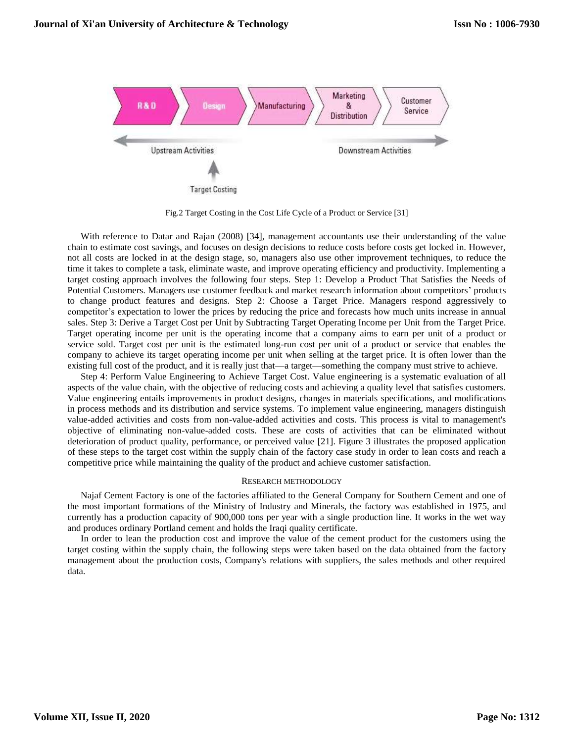

Fig.2 Target Costing in the Cost Life Cycle of a Product or Service [31]

With reference to Datar and Rajan (2008) [34], management accountants use their understanding of the value chain to estimate cost savings, and focuses on design decisions to reduce costs before costs get locked in. However, not all costs are locked in at the design stage, so, managers also use other improvement techniques, to reduce the time it takes to complete a task, eliminate waste, and improve operating efficiency and productivity. Implementing a target costing approach involves the following four steps. Step 1: Develop a Product That Satisfies the Needs of Potential Customers. Managers use customer feedback and market research information about competitors' products to change product features and designs. Step 2: Choose a Target Price. Managers respond aggressively to competitor's expectation to lower the prices by reducing the price and forecasts how much units increase in annual sales. Step 3: Derive a Target Cost per Unit by Subtracting Target Operating Income per Unit from the Target Price. Target operating income per unit is the operating income that a company aims to earn per unit of a product or service sold. Target cost per unit is the estimated long-run cost per unit of a product or service that enables the company to achieve its target operating income per unit when selling at the target price. It is often lower than the existing full cost of the product, and it is really just that—a target—something the company must strive to achieve.

Step 4: Perform Value Engineering to Achieve Target Cost. Value engineering is a systematic evaluation of all aspects of the value chain, with the objective of reducing costs and achieving a quality level that satisfies customers. Value engineering entails improvements in product designs, changes in materials specifications, and modifications in process methods and its distribution and service systems. To implement value engineering, managers distinguish value-added activities and costs from non-value-added activities and costs. This process is vital to management's objective of eliminating non-value-added costs. These are costs of activities that can be eliminated without deterioration of product quality, performance, or perceived value [21]. Figure 3 illustrates the proposed application of these steps to the target cost within the supply chain of the factory case study in order to lean costs and reach a competitive price while maintaining the quality of the product and achieve customer satisfaction.

#### RESEARCH METHODOLOGY

Najaf Cement Factory is one of the factories affiliated to the General Company for Southern Cement and one of the most important formations of the Ministry of Industry and Minerals, the factory was established in 1975, and currently has a production capacity of 900,000 tons per year with a single production line. It works in the wet way and produces ordinary Portland cement and holds the Iraqi quality certificate.

In order to lean the production cost and improve the value of the cement product for the customers using the target costing within the supply chain, the following steps were taken based on the data obtained from the factory management about the production costs, Company's relations with suppliers, the sales methods and other required data.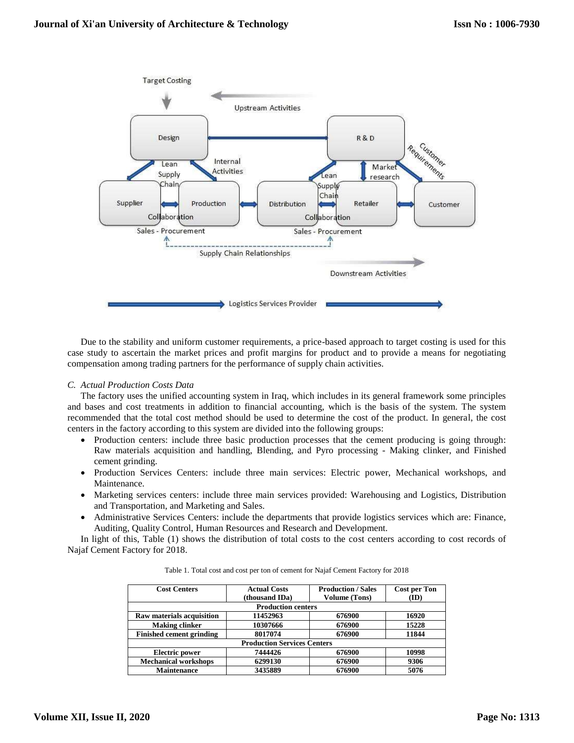

Due to the stability and uniform customer requirements, a price-based approach to target costing is used for this case study to ascertain the market prices and profit margins for product and to provide a means for negotiating compensation among trading partners for the performance of supply chain activities.

## *C. Actual Production Costs Data*

The factory uses the unified accounting system in Iraq, which includes in its general framework some principles and bases and cost treatments in addition to financial accounting, which is the basis of the system. The system recommended that the total cost method should be used to determine the cost of the product. In general, the cost centers in the factory according to this system are divided into the following groups:

- Production centers: include three basic production processes that the cement producing is going through: Raw materials acquisition and handling, Blending, and Pyro processing - Making clinker, and Finished cement grinding.
- Production Services Centers: include three main services: Electric power, Mechanical workshops, and Maintenance.
- Marketing services centers: include three main services provided: Warehousing and Logistics, Distribution and Transportation, and Marketing and Sales.
- Administrative Services Centers: include the departments that provide logistics services which are: Finance, Auditing, Quality Control, Human Resources and Research and Development.

In light of this, Table (1) shows the distribution of total costs to the cost centers according to cost records of Najaf Cement Factory for 2018.

| <b>Cost Centers</b>              | <b>Actual Costs</b><br>(thousand IDa) | <b>Production / Sales</b><br><b>Volume (Tons)</b> | <b>Cost per Ton</b><br>(ID) |
|----------------------------------|---------------------------------------|---------------------------------------------------|-----------------------------|
|                                  | <b>Production centers</b>             |                                                   |                             |
| <b>Raw materials acquisition</b> | 11452963                              | 676900                                            | 16920                       |
| <b>Making clinker</b>            | 10307666                              | 676900                                            | 15228                       |
| <b>Finished cement grinding</b>  | 8017074                               | 676900                                            | 11844                       |
|                                  | <b>Production Services Centers</b>    |                                                   |                             |
| <b>Electric power</b>            | 7444426                               | 676900                                            | 10998                       |
| <b>Mechanical workshops</b>      | 6299130                               | 676900                                            | 9306                        |
| <b>Maintenance</b>               | 3435889                               | 676900                                            | 5076                        |

Table 1. Total cost and cost per ton of cement for Najaf Cement Factory for 2018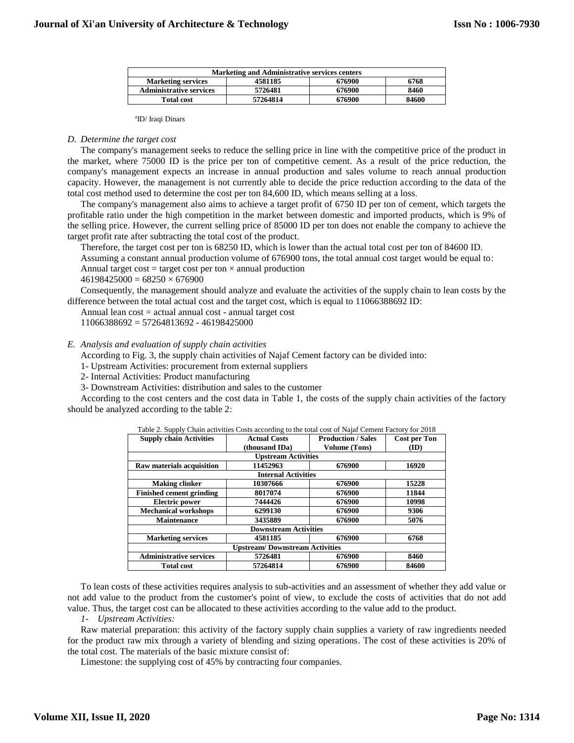| <b>Marketing and Administrative services centers</b> |          |        |       |  |  |  |
|------------------------------------------------------|----------|--------|-------|--|--|--|
| <b>Marketing services</b>                            | 4581185  | 676900 | 6768  |  |  |  |
| <b>Administrative services</b>                       | 5726481  | 676900 | 8460  |  |  |  |
| <b>Total cost</b>                                    | 57264814 | 676900 | 84600 |  |  |  |

a ID/ Iraqi Dinars

#### *D. Determine the target cost*

The company's management seeks to reduce the selling price in line with the competitive price of the product in the market, where 75000 ID is the price per ton of competitive cement. As a result of the price reduction, the company's management expects an increase in annual production and sales volume to reach annual production capacity. However, the management is not currently able to decide the price reduction according to the data of the total cost method used to determine the cost per ton 84,600 ID, which means selling at a loss.

The company's management also aims to achieve a target profit of 6750 ID per ton of cement, which targets the profitable ratio under the high competition in the market between domestic and imported products, which is 9% of the selling price. However, the current selling price of 85000 ID per ton does not enable the company to achieve the target profit rate after subtracting the total cost of the product.

Therefore, the target cost per ton is 68250 ID, which is lower than the actual total cost per ton of 84600 ID.

Assuming a constant annual production volume of 676900 tons, the total annual cost target would be equal to: Annual target cost = target cost per ton  $\times$  annual production

 $46198425000 = 68250 \times 676900$ 

Consequently, the management should analyze and evaluate the activities of the supply chain to lean costs by the difference between the total actual cost and the target cost, which is equal to 11066388692 ID:

Annual lean cost = actual annual cost - annual target cost

11066388692 = 57264813692 - 46198425000

## *E. Analysis and evaluation of supply chain activities*

According to Fig. 3, the supply chain activities of Najaf Cement factory can be divided into:

1- Upstream Activities: procurement from external suppliers

2- Internal Activities: Product manufacturing

3- Downstream Activities: distribution and sales to the customer

According to the cost centers and the cost data in Table 1, the costs of the supply chain activities of the factory should be analyzed according to the table 2:

| <b>Supply chain Activities</b>        | <b>Actual Costs</b>          | <b>Production / Sales</b> | <b>Cost per Ton</b> |  |  |  |
|---------------------------------------|------------------------------|---------------------------|---------------------|--|--|--|
|                                       | (thousand IDa)               | <b>Volume (Tons)</b>      | (ID)                |  |  |  |
|                                       | <b>Upstream Activities</b>   |                           |                     |  |  |  |
| Raw materials acquisition             | 11452963                     | 676900                    | 16920               |  |  |  |
|                                       | <b>Internal Activities</b>   |                           |                     |  |  |  |
| <b>Making clinker</b>                 | 10307666                     | 676900                    | 15228               |  |  |  |
| <b>Finished cement grinding</b>       | 8017074                      | 676900                    | 11844               |  |  |  |
| <b>Electric power</b>                 | 7444426                      | 676900                    | 10998               |  |  |  |
| <b>Mechanical workshops</b>           | 6299130                      | 676900                    | 9306                |  |  |  |
| <b>Maintenance</b>                    | 3435889                      | 676900                    | 5076                |  |  |  |
|                                       | <b>Downstream Activities</b> |                           |                     |  |  |  |
| <b>Marketing services</b>             | 4581185                      | 676900                    | 6768                |  |  |  |
| <b>Upstream/Downstream Activities</b> |                              |                           |                     |  |  |  |
| <b>Administrative services</b>        | 5726481                      | 676900                    | 8460                |  |  |  |
| <b>Total cost</b>                     | 57264814                     | 676900                    | 84600               |  |  |  |

|  | Table 2. Supply Chain activities Costs according to the total cost of Najaf Cement Factory for 2018 |  |  |  |
|--|-----------------------------------------------------------------------------------------------------|--|--|--|
|  |                                                                                                     |  |  |  |

To lean costs of these activities requires analysis to sub-activities and an assessment of whether they add value or not add value to the product from the customer's point of view, to exclude the costs of activities that do not add value. Thus, the target cost can be allocated to these activities according to the value add to the product.

*1- Upstream Activities:*

Raw material preparation: this activity of the factory supply chain supplies a variety of raw ingredients needed for the product raw mix through a variety of blending and sizing operations. The cost of these activities is 20% of the total cost. The materials of the basic mixture consist of:

Limestone: the supplying cost of 45% by contracting four companies.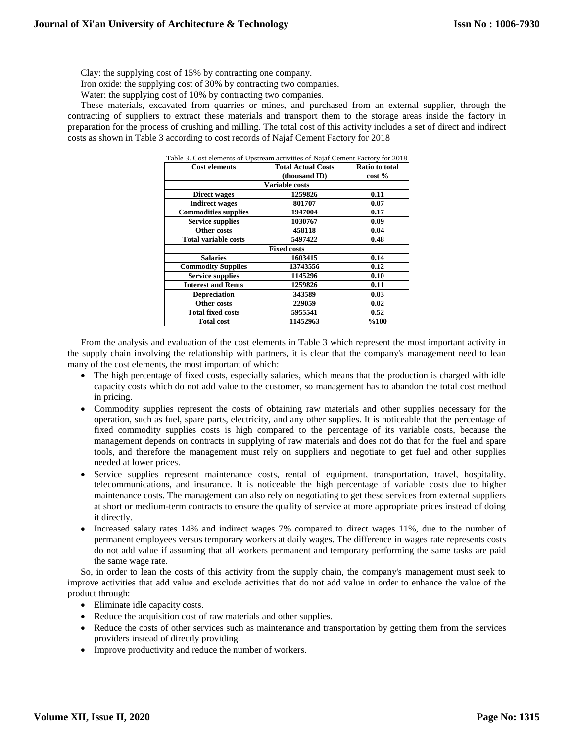Clay: the supplying cost of 15% by contracting one company.

Iron oxide: the supplying cost of 30% by contracting two companies.

Water: the supplying cost of 10% by contracting two companies.

These materials, excavated from quarries or mines, and purchased from an external supplier, through the contracting of suppliers to extract these materials and transport them to the storage areas inside the factory in preparation for the process of crushing and milling. The total cost of this activity includes a set of direct and indirect costs as shown in Table 3 according to cost records of Najaf Cement Factory for 2018

| <b>Cost elements</b>        | <b>Total Actual Costs</b> | Ratio to total |
|-----------------------------|---------------------------|----------------|
|                             | (thousand ID)             | cost %         |
|                             | <b>Variable costs</b>     |                |
| <b>Direct wages</b>         | 1259826                   | 0.11           |
| <b>Indirect wages</b>       | 801707                    | 0.07           |
| <b>Commodities supplies</b> | 1947004                   | 0.17           |
| <b>Service supplies</b>     | 1030767                   | 0.09           |
| Other costs                 | 458118                    | 0.04           |
| <b>Total variable costs</b> | 5497422                   | 0.48           |
|                             | <b>Fixed costs</b>        |                |
| <b>Salaries</b>             | 1603415                   | 0.14           |
| <b>Commodity Supplies</b>   | 13743556                  | 0.12           |
| <b>Service supplies</b>     | 1145296                   | 0.10           |
| <b>Interest and Rents</b>   | 1259826                   | 0.11           |
| <b>Depreciation</b>         | 343589                    | 0.03           |
| Other costs                 | 229059                    | 0.02           |
| <b>Total fixed costs</b>    | 5955541                   | 0.52           |
| <b>Total cost</b>           | 11452963                  | %100           |

Table 3. Cost elements of Upstream activities of Najaf Cement Factory for 2018

From the analysis and evaluation of the cost elements in Table 3 which represent the most important activity in the supply chain involving the relationship with partners, it is clear that the company's management need to lean many of the cost elements, the most important of which:

- The high percentage of fixed costs, especially salaries, which means that the production is charged with idle capacity costs which do not add value to the customer, so management has to abandon the total cost method in pricing.
- Commodity supplies represent the costs of obtaining raw materials and other supplies necessary for the operation, such as fuel, spare parts, electricity, and any other supplies. It is noticeable that the percentage of fixed commodity supplies costs is high compared to the percentage of its variable costs, because the management depends on contracts in supplying of raw materials and does not do that for the fuel and spare tools, and therefore the management must rely on suppliers and negotiate to get fuel and other supplies needed at lower prices.
- Service supplies represent maintenance costs, rental of equipment, transportation, travel, hospitality, telecommunications, and insurance. It is noticeable the high percentage of variable costs due to higher maintenance costs. The management can also rely on negotiating to get these services from external suppliers at short or medium-term contracts to ensure the quality of service at more appropriate prices instead of doing it directly.
- Increased salary rates 14% and indirect wages 7% compared to direct wages 11%, due to the number of permanent employees versus temporary workers at daily wages. The difference in wages rate represents costs do not add value if assuming that all workers permanent and temporary performing the same tasks are paid the same wage rate.

So, in order to lean the costs of this activity from the supply chain, the company's management must seek to improve activities that add value and exclude activities that do not add value in order to enhance the value of the product through:

- Eliminate idle capacity costs.
- Reduce the acquisition cost of raw materials and other supplies.
- Reduce the costs of other services such as maintenance and transportation by getting them from the services providers instead of directly providing.
- Improve productivity and reduce the number of workers.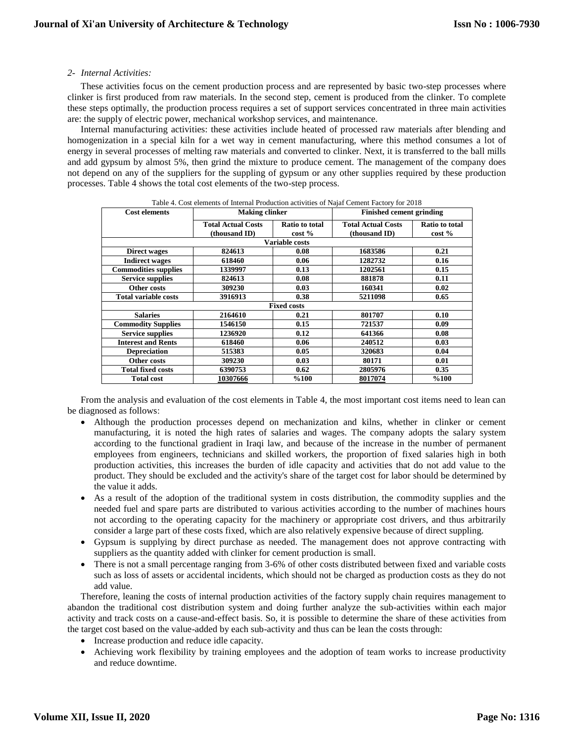## *2- Internal Activities:*

These activities focus on the cement production process and are represented by basic two-step processes where clinker is first produced from raw materials. In the second step, cement is produced from the clinker. To complete these steps optimally, the production process requires a set of support services concentrated in three main activities are: the supply of electric power, mechanical workshop services, and maintenance.

Internal manufacturing activities: these activities include heated of processed raw materials after blending and homogenization in a special kiln for a wet way in cement manufacturing, where this method consumes a lot of energy in several processes of melting raw materials and converted to clinker. Next, it is transferred to the ball mills and add gypsum by almost 5%, then grind the mixture to produce cement. The management of the company does not depend on any of the suppliers for the suppling of gypsum or any other supplies required by these production processes. Table 4 shows the total cost elements of the two-step process.

| <b>Cost elements</b>        | <b>Making clinker</b>     |                       | <b>Finished cement grinding</b> |                       |
|-----------------------------|---------------------------|-----------------------|---------------------------------|-----------------------|
|                             | <b>Total Actual Costs</b> | <b>Ratio to total</b> | <b>Total Actual Costs</b>       | <b>Ratio to total</b> |
|                             | (thousand ID)             | $\cos t \%$           | (thousand ID)                   | $\cos t \%$           |
|                             |                           | <b>Variable costs</b> |                                 |                       |
| Direct wages                | 824613                    | 0.08                  | 1683586                         | 0.21                  |
| <b>Indirect wages</b>       | 618460                    | 0.06                  | 1282732                         | 0.16                  |
| <b>Commodities supplies</b> | 1339997                   | 0.13                  | 1202561                         | 0.15                  |
| <b>Service supplies</b>     | 824613                    | 0.08                  | 881878                          | 0.11                  |
| Other costs                 | 309230                    | 0.03                  | 160341                          | 0.02                  |
| <b>Total variable costs</b> | 3916913                   | 0.38                  | 5211098                         | 0.65                  |
|                             |                           | <b>Fixed costs</b>    |                                 |                       |
| <b>Salaries</b>             | 2164610                   | 0.21                  | 801707                          | 0.10                  |
| <b>Commodity Supplies</b>   | 1546150                   | 0.15                  | 721537                          | 0.09                  |
| <b>Service supplies</b>     | 1236920                   | 0.12                  | 641366                          | 0.08                  |
| <b>Interest and Rents</b>   | 618460                    | 0.06                  | 240512                          | 0.03                  |
| <b>Depreciation</b>         | 515383                    | 0.05                  | 320683                          | 0.04                  |
| Other costs                 | 309230                    | 0.03                  | 80171                           | 0.01                  |
| <b>Total fixed costs</b>    | 6390753                   | 0.62                  | 2805976                         | 0.35                  |
| <b>Total cost</b>           | 10307666                  | %100                  | 8017074                         | %100                  |

| Table 4. Cost elements of Internal Production activities of Naiaf Cement Factory for 2018 |  |
|-------------------------------------------------------------------------------------------|--|
|                                                                                           |  |

From the analysis and evaluation of the cost elements in Table 4, the most important cost items need to lean can be diagnosed as follows:

- Although the production processes depend on mechanization and kilns, whether in clinker or cement manufacturing, it is noted the high rates of salaries and wages. The company adopts the salary system according to the functional gradient in Iraqi law, and because of the increase in the number of permanent employees from engineers, technicians and skilled workers, the proportion of fixed salaries high in both production activities, this increases the burden of idle capacity and activities that do not add value to the product. They should be excluded and the activity's share of the target cost for labor should be determined by the value it adds.
- As a result of the adoption of the traditional system in costs distribution, the commodity supplies and the needed fuel and spare parts are distributed to various activities according to the number of machines hours not according to the operating capacity for the machinery or appropriate cost drivers, and thus arbitrarily consider a large part of these costs fixed, which are also relatively expensive because of direct suppling.
- Gypsum is supplying by direct purchase as needed. The management does not approve contracting with suppliers as the quantity added with clinker for cement production is small.
- There is not a small percentage ranging from 3-6% of other costs distributed between fixed and variable costs such as loss of assets or accidental incidents, which should not be charged as production costs as they do not add value.

Therefore, leaning the costs of internal production activities of the factory supply chain requires management to abandon the traditional cost distribution system and doing further analyze the sub-activities within each major activity and track costs on a cause-and-effect basis. So, it is possible to determine the share of these activities from the target cost based on the value-added by each sub-activity and thus can be lean the costs through:

- Increase production and reduce idle capacity.
- Achieving work flexibility by training employees and the adoption of team works to increase productivity and reduce downtime.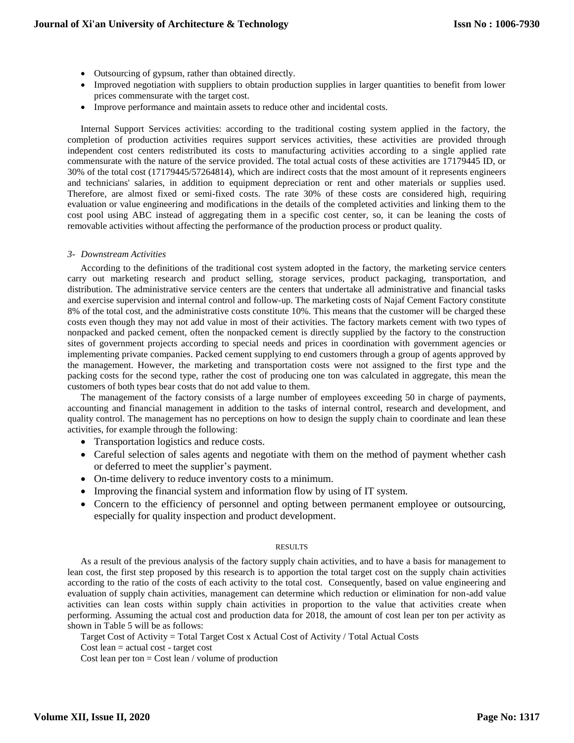- Outsourcing of gypsum, rather than obtained directly.
- Improved negotiation with suppliers to obtain production supplies in larger quantities to benefit from lower prices commensurate with the target cost.
- Improve performance and maintain assets to reduce other and incidental costs.

Internal Support Services activities: according to the traditional costing system applied in the factory, the completion of production activities requires support services activities, these activities are provided through independent cost centers redistributed its costs to manufacturing activities according to a single applied rate commensurate with the nature of the service provided. The total actual costs of these activities are 17179445 ID, or 30% of the total cost (17179445/57264814), which are indirect costs that the most amount of it represents engineers and technicians' salaries, in addition to equipment depreciation or rent and other materials or supplies used. Therefore, are almost fixed or semi-fixed costs. The rate 30% of these costs are considered high, requiring evaluation or value engineering and modifications in the details of the completed activities and linking them to the cost pool using ABC instead of aggregating them in a specific cost center, so, it can be leaning the costs of removable activities without affecting the performance of the production process or product quality.

## *3- Downstream Activities*

According to the definitions of the traditional cost system adopted in the factory, the marketing service centers carry out marketing research and product selling, storage services, product packaging, transportation, and distribution. The administrative service centers are the centers that undertake all administrative and financial tasks and exercise supervision and internal control and follow-up. The marketing costs of Najaf Cement Factory constitute 8% of the total cost, and the administrative costs constitute 10%. This means that the customer will be charged these costs even though they may not add value in most of their activities. The factory markets cement with two types of nonpacked and packed cement, often the nonpacked cement is directly supplied by the factory to the construction sites of government projects according to special needs and prices in coordination with government agencies or implementing private companies. Packed cement supplying to end customers through a group of agents approved by the management. However, the marketing and transportation costs were not assigned to the first type and the packing costs for the second type, rather the cost of producing one ton was calculated in aggregate, this mean the customers of both types bear costs that do not add value to them.

The management of the factory consists of a large number of employees exceeding 50 in charge of payments, accounting and financial management in addition to the tasks of internal control, research and development, and quality control. The management has no perceptions on how to design the supply chain to coordinate and lean these activities, for example through the following:

- Transportation logistics and reduce costs.
- Careful selection of sales agents and negotiate with them on the method of payment whether cash or deferred to meet the supplier's payment.
- On-time delivery to reduce inventory costs to a minimum.
- Improving the financial system and information flow by using of IT system.
- Concern to the efficiency of personnel and opting between permanent employee or outsourcing, especially for quality inspection and product development.

#### RESULTS

As a result of the previous analysis of the factory supply chain activities, and to have a basis for management to lean cost, the first step proposed by this research is to apportion the total target cost on the supply chain activities according to the ratio of the costs of each activity to the total cost. Consequently, based on value engineering and evaluation of supply chain activities, management can determine which reduction or elimination for non-add value activities can lean costs within supply chain activities in proportion to the value that activities create when performing. Assuming the actual cost and production data for 2018, the amount of cost lean per ton per activity as shown in Table 5 will be as follows:

Target Cost of Activity = Total Target Cost x Actual Cost of Activity / Total Actual Costs

Cost lean = actual cost - target cost

Cost lean per ton  $=$  Cost lean / volume of production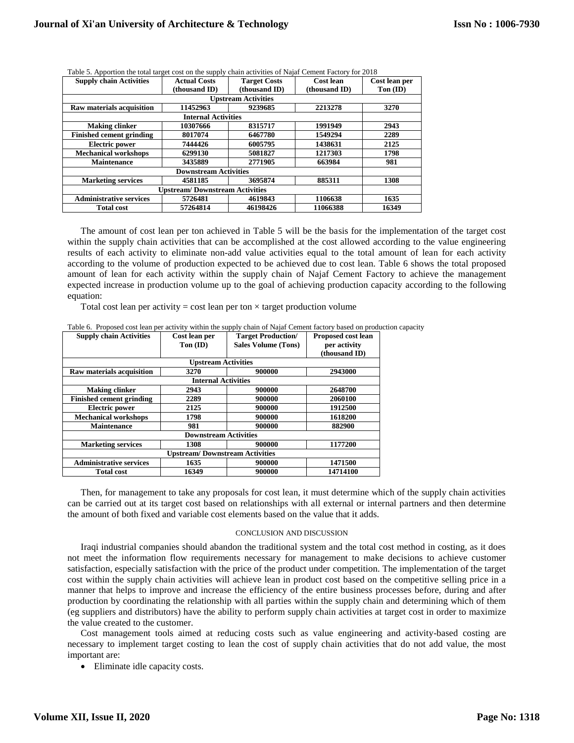| <b>Supply chain Activities</b>        | <b>Actual Costs</b>        | <b>Target Costs</b>        | Cost lean     | Cost lean per               |
|---------------------------------------|----------------------------|----------------------------|---------------|-----------------------------|
|                                       | (thousand ID)              | (thousand ID)              | (thousand ID) | $\textbf{Ton}(\textbf{ID})$ |
|                                       |                            | <b>Upstream Activities</b> |               |                             |
| Raw materials acquisition             | 11452963                   | 9239685                    | 2213278       | 3270                        |
|                                       | <b>Internal Activities</b> |                            |               |                             |
| <b>Making clinker</b>                 | 10307666                   | 8315717                    | 1991949       | 2943                        |
| <b>Finished cement grinding</b>       | 8017074                    | 6467780                    | 1549294       | 2289                        |
| <b>Electric power</b>                 | 7444426                    | 6005795                    | 1438631       | 2125                        |
| <b>Mechanical workshops</b>           | 6299130                    | 5081827                    | 1217303       | 1798                        |
| <b>Maintenance</b>                    | 3435889                    | 2771905                    | 663984        | 981                         |
|                                       |                            |                            |               |                             |
| <b>Marketing services</b>             | 4581185                    | 3695874                    | 885311        | 1308                        |
| <b>Upstream/Downstream Activities</b> |                            |                            |               |                             |
| <b>Administrative services</b>        | 5726481                    | 4619843                    | 1106638       | 1635                        |
| <b>Total cost</b>                     | 57264814                   | 46198426                   | 11066388      | 16349                       |

Table 5. Apportion the total target cost on the supply chain activities of Najaf Cement Factory for 2018

The amount of cost lean per ton achieved in Table 5 will be the basis for the implementation of the target cost within the supply chain activities that can be accomplished at the cost allowed according to the value engineering results of each activity to eliminate non-add value activities equal to the total amount of lean for each activity according to the volume of production expected to be achieved due to cost lean. Table 6 shows the total proposed amount of lean for each activity within the supply chain of Najaf Cement Factory to achieve the management expected increase in production volume up to the goal of achieving production capacity according to the following equation:

Total cost lean per activity = cost lean per ton  $\times$  target production volume

|  |  | Table 6. Proposed cost lean per activity within the supply chain of Najaf Cement factory based on production capacity |  |  |
|--|--|-----------------------------------------------------------------------------------------------------------------------|--|--|
|  |  |                                                                                                                       |  |  |

| <b>Supply chain Activities</b>        | Cost lean per<br>$\textbf{Ton}(\textbf{ID})$ | <b>Target Production/</b><br><b>Sales Volume (Tons)</b> | Proposed cost lean<br>per activity<br>(thousand ID) |  |  |  |  |
|---------------------------------------|----------------------------------------------|---------------------------------------------------------|-----------------------------------------------------|--|--|--|--|
|                                       | <b>Upstream Activities</b>                   |                                                         |                                                     |  |  |  |  |
| Raw materials acquisition             | 3270                                         | 900000                                                  | 2943000                                             |  |  |  |  |
|                                       | <b>Internal Activities</b>                   |                                                         |                                                     |  |  |  |  |
| <b>Making clinker</b>                 | 2943                                         | 900000                                                  | 2648700                                             |  |  |  |  |
| <b>Finished cement grinding</b>       | 2289                                         | 900000                                                  | 2060100                                             |  |  |  |  |
| <b>Electric power</b>                 | 2125                                         | 900000                                                  | 1912500                                             |  |  |  |  |
| <b>Mechanical workshops</b>           | 1798                                         | 900000                                                  | 1618200                                             |  |  |  |  |
| <b>Maintenance</b>                    | 981                                          | 900000                                                  | 882900                                              |  |  |  |  |
|                                       | <b>Downstream Activities</b>                 |                                                         |                                                     |  |  |  |  |
| <b>Marketing services</b>             | 1308                                         | 900000                                                  | 1177200                                             |  |  |  |  |
| <b>Upstream/Downstream Activities</b> |                                              |                                                         |                                                     |  |  |  |  |
| <b>Administrative services</b>        | 1635                                         | 900000                                                  | 1471500                                             |  |  |  |  |
| <b>Total cost</b>                     | 16349                                        | 900000                                                  | 14714100                                            |  |  |  |  |

Then, for management to take any proposals for cost lean, it must determine which of the supply chain activities can be carried out at its target cost based on relationships with all external or internal partners and then determine the amount of both fixed and variable cost elements based on the value that it adds.

#### CONCLUSION AND DISCUSSION

Iraqi industrial companies should abandon the traditional system and the total cost method in costing, as it does not meet the information flow requirements necessary for management to make decisions to achieve customer satisfaction, especially satisfaction with the price of the product under competition. The implementation of the target cost within the supply chain activities will achieve lean in product cost based on the competitive selling price in a manner that helps to improve and increase the efficiency of the entire business processes before, during and after production by coordinating the relationship with all parties within the supply chain and determining which of them (eg suppliers and distributors) have the ability to perform supply chain activities at target cost in order to maximize the value created to the customer.

Cost management tools aimed at reducing costs such as value engineering and activity-based costing are necessary to implement target costing to lean the cost of supply chain activities that do not add value, the most important are:

Eliminate idle capacity costs.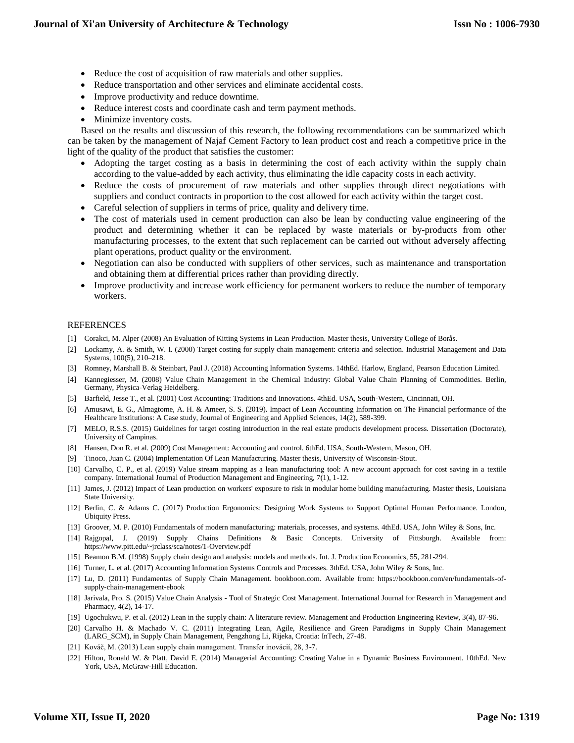- Reduce the cost of acquisition of raw materials and other supplies.
- Reduce transportation and other services and eliminate accidental costs.
- Improve productivity and reduce downtime.
- Reduce interest costs and coordinate cash and term payment methods.
- Minimize inventory costs.

Based on the results and discussion of this research, the following recommendations can be summarized which can be taken by the management of Najaf Cement Factory to lean product cost and reach a competitive price in the light of the quality of the product that satisfies the customer:

- Adopting the target costing as a basis in determining the cost of each activity within the supply chain according to the value-added by each activity, thus eliminating the idle capacity costs in each activity.
- Reduce the costs of procurement of raw materials and other supplies through direct negotiations with suppliers and conduct contracts in proportion to the cost allowed for each activity within the target cost.
- Careful selection of suppliers in terms of price, quality and delivery time.
- The cost of materials used in cement production can also be lean by conducting value engineering of the product and determining whether it can be replaced by waste materials or by-products from other manufacturing processes, to the extent that such replacement can be carried out without adversely affecting plant operations, product quality or the environment.
- Negotiation can also be conducted with suppliers of other services, such as maintenance and transportation and obtaining them at differential prices rather than providing directly.
- Improve productivity and increase work efficiency for permanent workers to reduce the number of temporary workers.

## REFERENCES

- [1] Corakci, M. Alper (2008) An Evaluation of Kitting Systems in Lean Production. Master thesis, University College of Borås.
- [2] Lockamy, A. & Smith, W. I. (2000) Target costing for supply chain management: criteria and selection. Industrial Management and Data Systems, 100(5), 210–218.
- [3] Romney, Marshall B. & Steinbart, Paul J. (2018) Accounting Information Systems. 14thEd. Harlow, England, Pearson Education Limited.
- [4] Kannegiesser, M. (2008) Value Chain Management in the Chemical Industry: Global Value Chain Planning of Commodities. Berlin, Germany, Physica-Verlag Heidelberg.
- [5] Barfield, Jesse T., et al. (2001) Cost Accounting: Traditions and Innovations. 4thEd. USA, South-Western, Cincinnati, OH.
- [6] Amusawi, E. G., Almagtome, A. H. & Ameer, S. S. (2019). Impact of Lean Accounting Information on The Financial performance of the Healthcare Institutions: A Case study, Journal of Engineering and Applied Sciences, 14(2), 589-399.
- [7] MELO, R.S.S. (2015) Guidelines for target costing introduction in the real estate products development process. Dissertation (Doctorate), University of Campinas.
- [8] Hansen, Don R. et al. (2009) Cost Management: Accounting and control. 6thEd. USA, South-Western, Mason, OH.
- [9] Tinoco, Juan C. (2004) Implementation Of Lean Manufacturing. Master thesis, University of Wisconsin-Stout.
- [10] Carvalho, C. P., et al. (2019) Value stream mapping as a lean manufacturing tool: A new account approach for cost saving in a textile company. International Journal of Production Management and Engineering, 7(1), 1-12.
- [11] James, J. (2012) Impact of Lean production on workers' exposure to risk in modular home building manufacturing. Master thesis, Louisiana State University.
- [12] Berlin, C. & Adams C. (2017) Production Ergonomics: Designing Work Systems to Support Optimal Human Performance. London, Ubiquity Press.
- [13] Groover, M. P. (2010) Fundamentals of modern manufacturing: materials, processes, and systems. 4thEd. USA, John Wiley & Sons, Inc.
- [14] Rajgopal, J. (2019) Supply Chains Definitions & Basic Concepts. University of Pittsburgh. Available from: https://www.pitt.edu/~jrclass/sca/notes/1-Overview.pdf
- [15] Beamon B.M. (1998) Supply chain design and analysis: models and methods. Int. J. Production Economics, 55, 281-294.
- [16] Turner, L. et al. (2017) Accounting Information Systems Controls and Processes. 3thEd. USA, John Wiley & Sons, Inc.
- [17] Lu, D. (2011) Fundamentas of Supply Chain Management. bookboon.com. Available from: https://bookboon.com/en/fundamentals-ofsupply-chain-management-ebook
- [18] Jarivala, Pro. S. (2015) Value Chain Analysis Tool of Strategic Cost Management. International Journal for Research in Management and Pharmacy, 4(2), 14-17.
- [19] Ugochukwu, P. et al. (2012) Lean in the supply chain: A literature review. Management and Production Engineering Review, 3(4), 87-96.
- [20] Carvalho H. & Machado V. C. (2011) Integrating Lean, Agile, Resilience and Green Paradigms in Supply Chain Management (LARG\_SCM), in Supply Chain Management, Pengzhong Li, Rijeka, Croatia: InTech, 27-48.
- [21] Kováč, M. (2013) Lean supply chain management. Transfer inovácií, 28, 3-7.
- [22] Hilton, Ronald W. & Platt, David E. (2014) Managerial Accounting: Creating Value in a Dynamic Business Environment. 10thEd. New York, USA, McGraw-Hill Education.